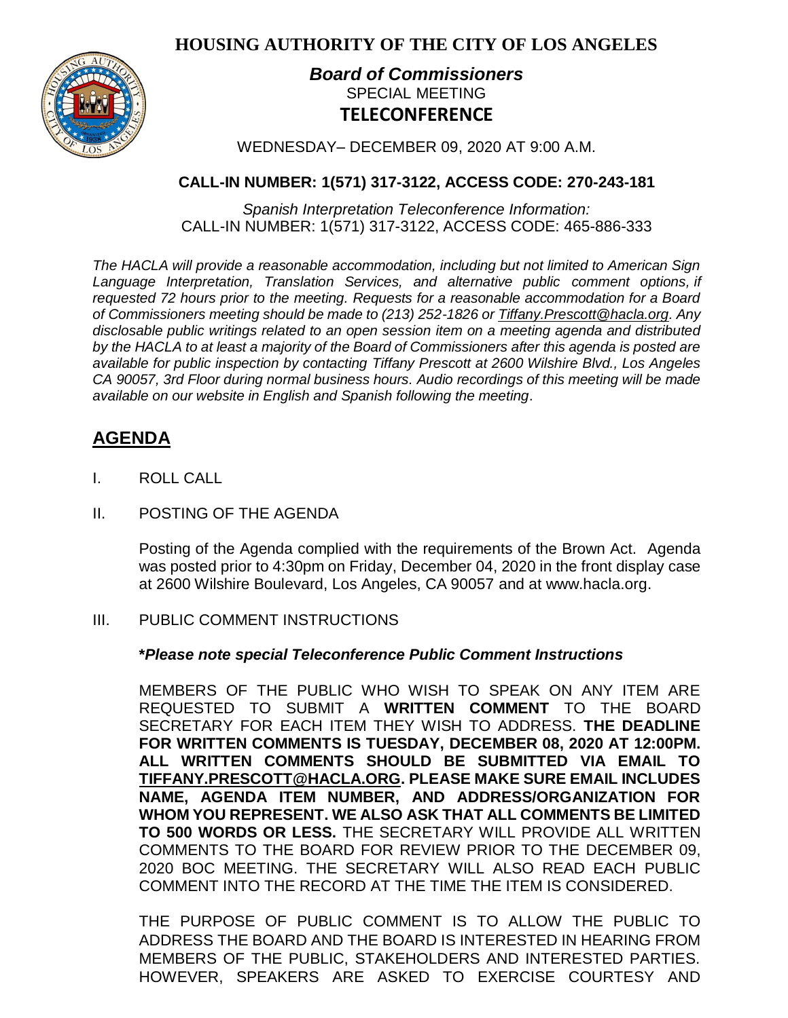**HOUSING AUTHORITY OF THE CITY OF LOS ANGELES**



## *Board of Commissioners* SPECIAL MEETING **TELECONFERENCE**

WEDNESDAY– DECEMBER 09, 2020 AT 9:00 A.M.

### **CALL-IN NUMBER: 1(571) 317-3122, ACCESS CODE: 270-243-181**

*Spanish Interpretation Teleconference Information:* CALL-IN NUMBER: 1(571) 317-3122, ACCESS CODE: 465-886-333

*The HACLA will provide a reasonable accommodation, including but not limited to American Sign Language Interpretation, Translation Services, and alternative public comment options, if requested 72 hours prior to the meeting. Requests for a reasonable accommodation for a Board of Commissioners meeting should be made to (213) 252-1826 or Tiffany.Prescott@hacla.org. Any disclosable public writings related to an open session item on a meeting agenda and distributed by the HACLA to at least a majority of the Board of Commissioners after this agenda is posted are available for public inspection by contacting Tiffany Prescott at 2600 Wilshire Blvd., Los Angeles CA 90057, 3rd Floor during normal business hours. Audio recordings of this meeting will be made available on our website in English and Spanish following the meeting.*

# **AGENDA**

- I. ROLL CALL
- II. POSTING OF THE AGENDA

Posting of the Agenda complied with the requirements of the Brown Act. Agenda was posted prior to 4:30pm on Friday, December 04, 2020 in the front display case at 2600 Wilshire Boulevard, Los Angeles, CA 90057 and at [www.hacla.org.](http://www.hacla.org/)

#### III. PUBLIC COMMENT INSTRUCTIONS

#### **\****Please note special Teleconference Public Comment Instructions*

MEMBERS OF THE PUBLIC WHO WISH TO SPEAK ON ANY ITEM ARE REQUESTED TO SUBMIT A **WRITTEN COMMENT** TO THE BOARD SECRETARY FOR EACH ITEM THEY WISH TO ADDRESS. **THE DEADLINE FOR WRITTEN COMMENTS IS TUESDAY, DECEMBER 08, 2020 AT 12:00PM. ALL WRITTEN COMMENTS SHOULD BE SUBMITTED VIA EMAIL TO [TIFFANY.PRESCOTT@HACLA.ORG.](mailto:TIFFANY.PRESCOTT@HACLA.ORG) PLEASE MAKE SURE EMAIL INCLUDES NAME, AGENDA ITEM NUMBER, AND ADDRESS/ORGANIZATION FOR WHOM YOU REPRESENT. WE ALSO ASK THAT ALL COMMENTS BE LIMITED TO 500 WORDS OR LESS.** THE SECRETARY WILL PROVIDE ALL WRITTEN COMMENTS TO THE BOARD FOR REVIEW PRIOR TO THE DECEMBER 09, 2020 BOC MEETING. THE SECRETARY WILL ALSO READ EACH PUBLIC COMMENT INTO THE RECORD AT THE TIME THE ITEM IS CONSIDERED.

THE PURPOSE OF PUBLIC COMMENT IS TO ALLOW THE PUBLIC TO ADDRESS THE BOARD AND THE BOARD IS INTERESTED IN HEARING FROM MEMBERS OF THE PUBLIC, STAKEHOLDERS AND INTERESTED PARTIES. HOWEVER, SPEAKERS ARE ASKED TO EXERCISE COURTESY AND